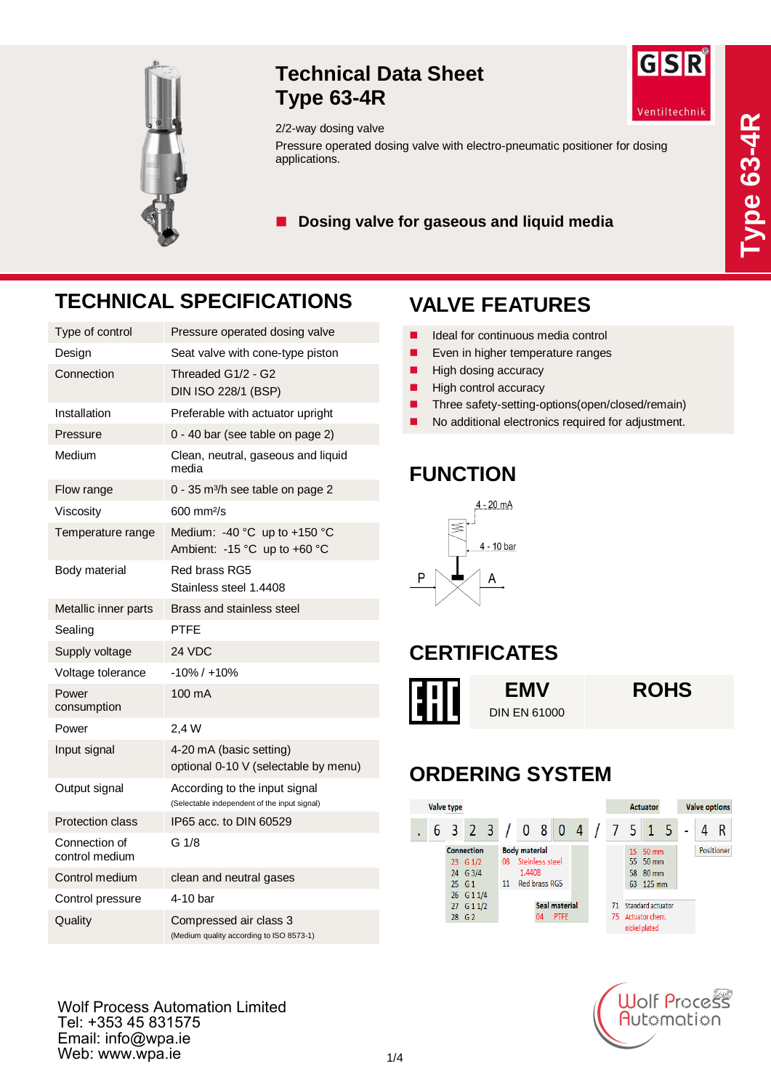

#### **Technical Data Sheet Type 63-4R**



#### 2/2-way dosing valve

Pressure operated dosing valve with electro-pneumatic positioner for dosing applications.

■ Dosing valve for gaseous and liquid media

## **TECHNICAL SPECIFICATIONS**

| Type of control                 | Pressure operated dosing valve                                                |
|---------------------------------|-------------------------------------------------------------------------------|
| Design                          | Seat valve with cone-type piston                                              |
| Connection                      | Threaded G1/2 - G2<br>DIN ISO 228/1 (BSP)                                     |
| Installation                    | Preferable with actuator upright                                              |
| Pressure                        | 0 - 40 bar (see table on page 2)                                              |
| Medium                          | Clean, neutral, gaseous and liquid<br>media                                   |
| Flow range                      | 0 - 35 m <sup>3</sup> /h see table on page 2                                  |
| Viscosity                       | $600 \text{ mm}$ <sup>2</sup> /s                                              |
| Temperature range               | Medium: -40 °C up to +150 °C<br>Ambient: -15 °C up to +60 °C                  |
| Body material                   | Red brass RG5<br>Stainless steel 1.4408                                       |
| Metallic inner parts            | Brass and stainless steel                                                     |
| Sealing                         | PTFE                                                                          |
| Supply voltage                  | 24 VDC                                                                        |
| Voltage tolerance               | $-10\% / +10\%$                                                               |
| Power<br>consumption            | 100 mA                                                                        |
| Power                           | 2,4 W                                                                         |
| Input signal                    | 4-20 mA (basic setting)<br>optional 0-10 V (selectable by menu)               |
| Output signal                   | According to the input signal<br>(Selectable independent of the input signal) |
| <b>Protection class</b>         | IP65 acc. to DIN 60529                                                        |
| Connection of<br>control medium | G 1/8                                                                         |
| Control medium                  | clean and neutral gases                                                       |
| Control pressure                | 4-10 bar                                                                      |
| Quality                         | Compressed air class 3<br>(Medium quality according to ISO 8573-1)            |

### **VALVE FEATURES**

- I Ideal for continuous media control
- **EXECUTE:** Even in higher temperature ranges
- $\blacksquare$  High dosing accuracy
- $\blacksquare$  High control accuracy
- Three safety-setting-options(open/closed/remain)
- No additional electronics required for adjustment.

#### **FUNCTION**



#### **CERTIFICATES**



#### **ORDERING SYSTEM**

|  | Valve type |                                                                          |                                                                                |  |  |  |                                               |           |                                                      | Actuator |  | <b>Valve options</b> |
|--|------------|--------------------------------------------------------------------------|--------------------------------------------------------------------------------|--|--|--|-----------------------------------------------|-----------|------------------------------------------------------|----------|--|----------------------|
|  |            | 6 3 2 3 / 0 8 0 4 / 7 5 1 5                                              |                                                                                |  |  |  |                                               |           |                                                      |          |  |                      |
|  |            | <b>Connection</b><br>23 G 1/2<br>24 G 3/4<br>$25 \quad G1$<br>26 G 1 1/4 | <b>Body material</b><br>Steinless steel<br>08<br>1.4408<br>Red brass RG5<br>11 |  |  |  | 15 50 mm<br>55 50 mm<br>58 80 mm<br>63 125 mm |           | Positioner                                           |          |  |                      |
|  |            | 27 G 1 1/2<br>28 G 2                                                     | Seal material<br><b>PTFE</b><br>04                                             |  |  |  |                                               | 71<br>75. | Standard actuator<br>Actuator chem.<br>nickel plated |          |  |                      |



Wolf Process Automation Limited Tel: +353 45 831575 Email: info@wpa.ie Web: www.wpa.ie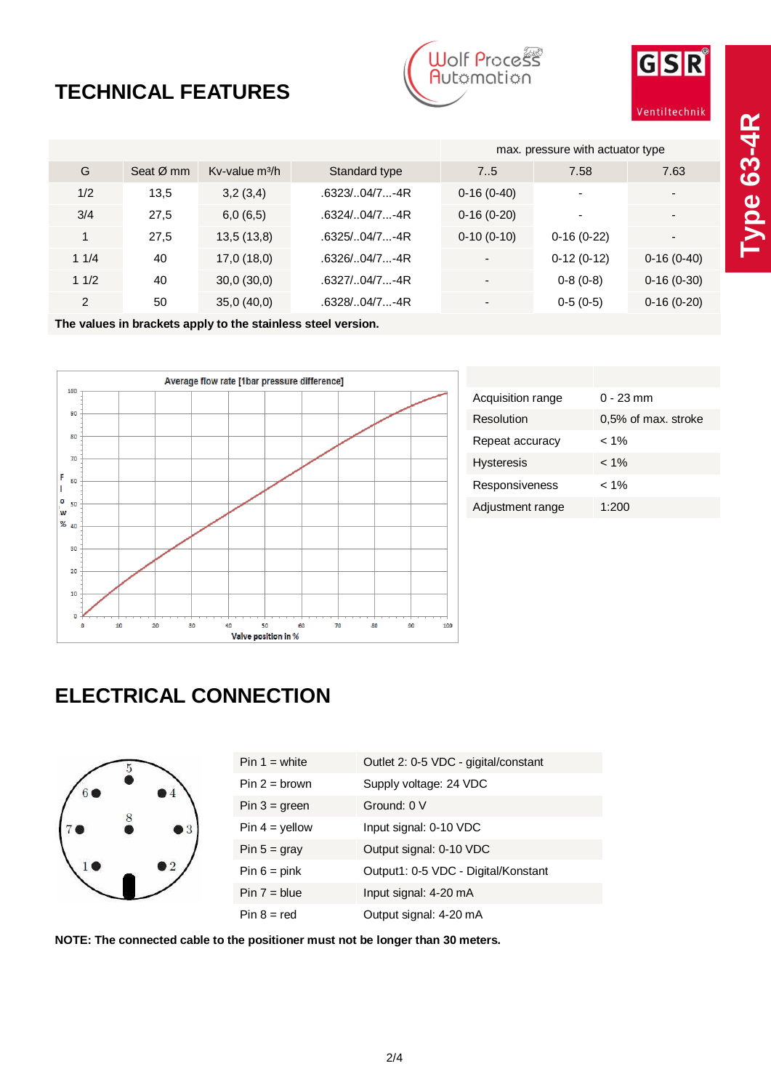# **TECHNICAL FEATURES**





|               |             |                  |               | max. pressure with actuator type |              |                          |
|---------------|-------------|------------------|---------------|----------------------------------|--------------|--------------------------|
| G             | Seat $Ø$ mm | Kv-value $m^3/h$ | Standard type | 7.5                              | 7.58         | 7.63                     |
| 1/2           | 13,5        | 3,2(3,4)         | .6323/04/7-4R | $0-16(0-40)$                     | ٠            | $\blacksquare$           |
| 3/4           | 27,5        | 6,0(6,5)         | .6324/04/7-4R | $0-16(0-20)$                     |              | $\overline{\phantom{a}}$ |
|               | 27,5        | 13,5(13,8)       | .6325/04/7-4R | $0-10(0-10)$                     | $0-16(0-22)$ | $\overline{\phantom{a}}$ |
| 11/4          | 40          | 17,0(18,0)       | .6326/04/7-4R | $\overline{\phantom{0}}$         | $0-12(0-12)$ | $0-16(0-40)$             |
| 11/2          | 40          | 30,0(30,0)       | .6327/04/7-4R | ۰                                | $0-8(0-8)$   | $0-16(0-30)$             |
| $\mathcal{P}$ | 50          | 35,0(40,0)       | .6328/04/7-4R |                                  | $0-5(0-5)$   | $0-16(0-20)$             |

**The values in brackets apply to the stainless steel version.**



| Acquisition range | $0 - 23$ mm         |
|-------------------|---------------------|
| Resolution        | 0,5% of max. stroke |
| Repeat accuracy   | 1% >                |
| <b>Hysteresis</b> | $< 1\%$             |
| Responsiveness    | $< 1\%$             |
| Adjustment range  | 1:200               |
|                   |                     |

### **ELECTRICAL CONNECTION**

| $6\bullet$ | $\overline{5}$ |                        |
|------------|----------------|------------------------|
| 70         | 8              | $\bullet$ <sup>3</sup> |
|            |                | $\bullet$ 2            |

| $Pin 1 = white$  | Outlet 2: 0-5 VDC - gigital/constant |
|------------------|--------------------------------------|
| $Pin 2 = brown$  | Supply voltage: 24 VDC               |
| $Pin 3 = green$  | Ground: 0 V                          |
| $Pin 4 = yellow$ | Input signal: 0-10 VDC               |
| Pin $5 =$ gray   | Output signal: 0-10 VDC              |
| $Pin 6 = pink$   | Output1: 0-5 VDC - Digital/Konstant  |
| $Pin 7 = blue$   | Input signal: 4-20 mA                |
| $Pin 8 = red$    | Output signal: 4-20 mA               |

**NOTE: The connected cable to the positioner must not be longer than 30 meters.**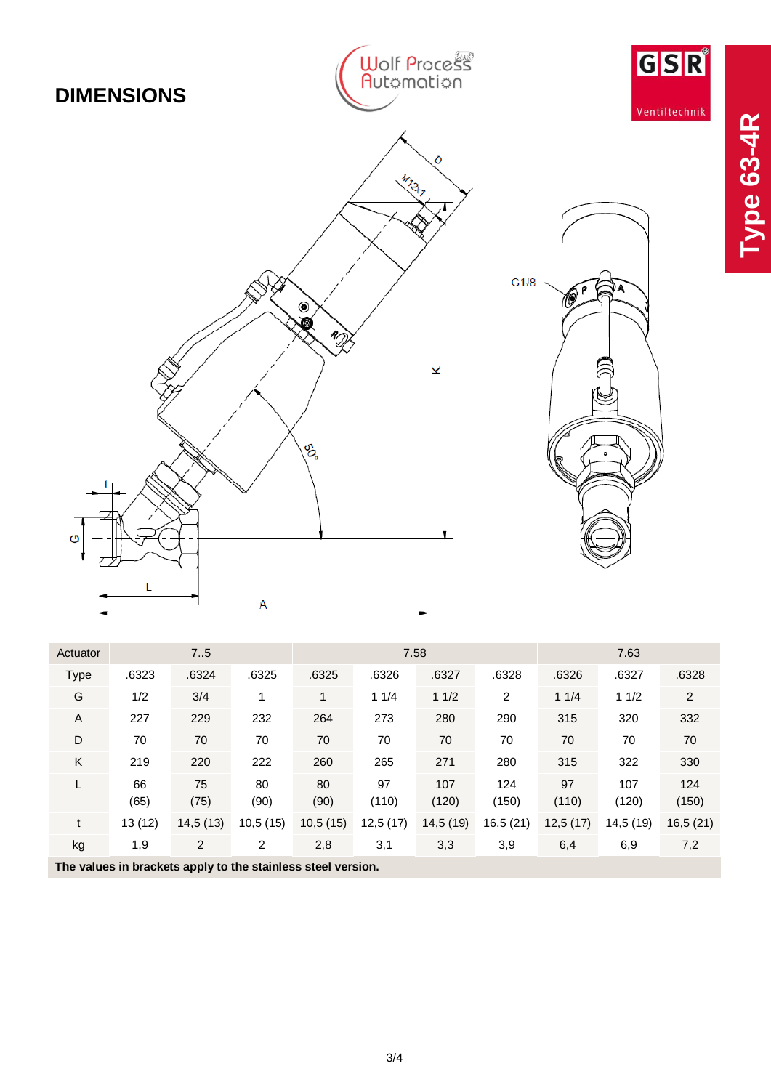

**Type 63**

**-4R**

| Actuator                                                     | 75         |            |                | 7.58       |             |              |              | 7.63        |              |              |
|--------------------------------------------------------------|------------|------------|----------------|------------|-------------|--------------|--------------|-------------|--------------|--------------|
| <b>Type</b>                                                  | .6323      | .6324      | .6325          | .6325      | .6326       | .6327        | .6328        | .6326       | .6327        | .6328        |
| G                                                            | 1/2        | 3/4        |                | 1          | 11/4        | 11/2         | 2            | 11/4        | 11/2         | 2            |
| A                                                            | 227        | 229        | 232            | 264        | 273         | 280          | 290          | 315         | 320          | 332          |
| D                                                            | 70         | 70         | 70             | 70         | 70          | 70           | 70           | 70          | 70           | 70           |
| K                                                            | 219        | 220        | 222            | 260        | 265         | 271          | 280          | 315         | 322          | 330          |
|                                                              | 66<br>(65) | 75<br>(75) | 80<br>(90)     | 80<br>(90) | 97<br>(110) | 107<br>(120) | 124<br>(150) | 97<br>(110) | 107<br>(120) | 124<br>(150) |
| t                                                            | 13(12)     | 14,5(13)   | 10,5(15)       | 10,5(15)   | 12,5(17)    | 14,5(19)     | 16,5(21)     | 12,5(17)    | 14,5 (19)    | 16,5(21)     |
| kg                                                           | 1,9        | 2          | $\overline{2}$ | 2,8        | 3,1         | 3,3          | 3,9          | 6,4         | 6,9          | 7,2          |
| The values in brackets apply to the stainless steel version. |            |            |                |            |             |              |              |             |              |              |